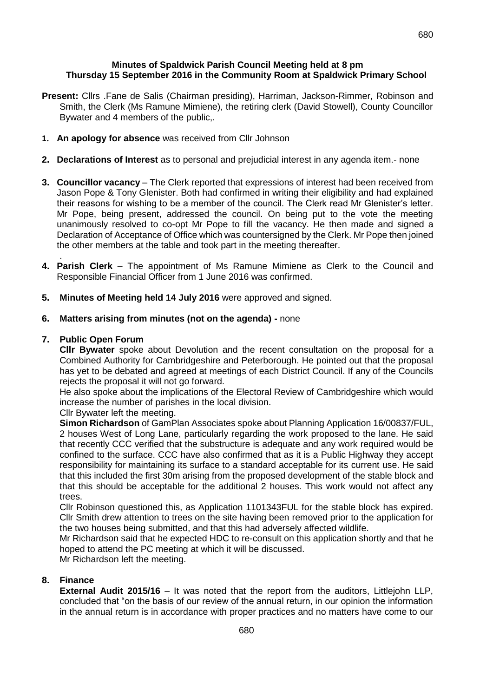680

### **Minutes of Spaldwick Parish Council Meeting held at 8 pm Thursday 15 September 2016 in the Community Room at Spaldwick Primary School**

- **Present:** Cllrs .Fane de Salis (Chairman presiding), Harriman, Jackson-Rimmer, Robinson and Smith, the Clerk (Ms Ramune Mimiene), the retiring clerk (David Stowell), County Councillor Bywater and 4 members of the public,.
- **1. An apology for absence** was received from Cllr Johnson
- **2. Declarations of Interest** as to personal and prejudicial interest in any agenda item.- none
- **3. Councillor vacancy**  The Clerk reported that expressions of interest had been received from Jason Pope & Tony Glenister. Both had confirmed in writing their eligibility and had explained their reasons for wishing to be a member of the council. The Clerk read Mr Glenister's letter. Mr Pope, being present, addressed the council. On being put to the vote the meeting unanimously resolved to co-opt Mr Pope to fill the vacancy. He then made and signed a Declaration of Acceptance of Office which was countersigned by the Clerk. Mr Pope then joined the other members at the table and took part in the meeting thereafter.
- . **4. Parish Clerk** – The appointment of Ms Ramune Mimiene as Clerk to the Council and Responsible Financial Officer from 1 June 2016 was confirmed.
- **5. Minutes of Meeting held 14 July 2016** were approved and signed.
- **6. Matters arising from minutes (not on the agenda) -** none

#### **7. Public Open Forum**

**Cllr Bywater** spoke about Devolution and the recent consultation on the proposal for a Combined Authority for Cambridgeshire and Peterborough. He pointed out that the proposal has yet to be debated and agreed at meetings of each District Council. If any of the Councils rejects the proposal it will not go forward.

He also spoke about the implications of the Electoral Review of Cambridgeshire which would increase the number of parishes in the local division.

Cllr Bywater left the meeting.

**Simon Richardson** of GamPlan Associates spoke about Planning Application 16/00837/FUL, 2 houses West of Long Lane, particularly regarding the work proposed to the lane. He said that recently CCC verified that the substructure is adequate and any work required would be confined to the surface. CCC have also confirmed that as it is a Public Highway they accept responsibility for maintaining its surface to a standard acceptable for its current use. He said that this included the first 30m arising from the proposed development of the stable block and that this should be acceptable for the additional 2 houses. This work would not affect any trees.

Cllr Robinson questioned this, as Application 1101343FUL for the stable block has expired. Cllr Smith drew attention to trees on the site having been removed prior to the application for the two houses being submitted, and that this had adversely affected wildlife.

Mr Richardson said that he expected HDC to re-consult on this application shortly and that he hoped to attend the PC meeting at which it will be discussed.

Mr Richardson left the meeting.

#### **8. Finance**

**External Audit 2015/16** – It was noted that the report from the auditors, Littlejohn LLP, concluded that "on the basis of our review of the annual return, in our opinion the information in the annual return is in accordance with proper practices and no matters have come to our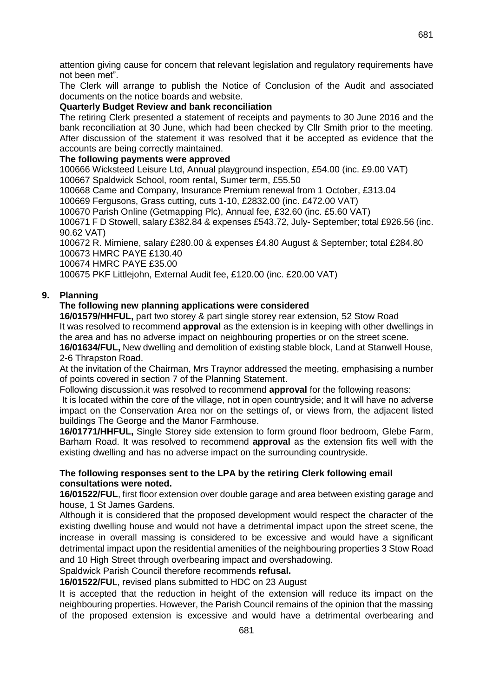attention giving cause for concern that relevant legislation and regulatory requirements have not been met".

The Clerk will arrange to publish the Notice of Conclusion of the Audit and associated documents on the notice boards and website.

### **Quarterly Budget Review and bank reconciliation**

The retiring Clerk presented a statement of receipts and payments to 30 June 2016 and the bank reconciliation at 30 June, which had been checked by Cllr Smith prior to the meeting. After discussion of the statement it was resolved that it be accepted as evidence that the accounts are being correctly maintained.

### **The following payments were approved**

100666 Wicksteed Leisure Ltd, Annual playground inspection, £54.00 (inc. £9.00 VAT) 100667 Spaldwick School, room rental, Sumer term, £55.50

100668 Came and Company, Insurance Premium renewal from 1 October, £313.04

100669 Fergusons, Grass cutting, cuts 1-10, £2832.00 (inc. £472.00 VAT)

100670 Parish Online (Getmapping Plc), Annual fee, £32.60 (inc. £5.60 VAT)

100671 F D Stowell, salary £382.84 & expenses £543.72, July- September; total £926.56 (inc. 90.62 VAT)

100672 R. Mimiene, salary £280.00 & expenses £4.80 August & September; total £284.80 100673 HMRC PAYE £130.40

100674 HMRC PAYE £35.00

100675 PKF Littlejohn, External Audit fee, £120.00 (inc. £20.00 VAT)

# **9. Planning**

### **The following new planning applications were considered**

**16/01579/HHFUL,** part two storey & part single storey rear extension, 52 Stow Road It was resolved to recommend **approval** as the extension is in keeping with other dwellings in the area and has no adverse impact on neighbouring properties or on the street scene.

**16/01634/FUL,** New dwelling and demolition of existing stable block, Land at Stanwell House, 2-6 Thrapston Road.

At the invitation of the Chairman, Mrs Traynor addressed the meeting, emphasising a number of points covered in section 7 of the Planning Statement.

Following discussion.it was resolved to recommend **approval** for the following reasons:

It is located within the core of the village, not in open countryside; and It will have no adverse impact on the Conservation Area nor on the settings of, or views from, the adjacent listed buildings The George and the Manor Farmhouse.

**16/01771/HHFUL,** Single Storey side extension to form ground floor bedroom, Glebe Farm, Barham Road. It was resolved to recommend **approval** as the extension fits well with the existing dwelling and has no adverse impact on the surrounding countryside.

### **The following responses sent to the LPA by the retiring Clerk following email consultations were noted.**

**16/01522/FUL**, first floor extension over double garage and area between existing garage and house, 1 St James Gardens.

Although it is considered that the proposed development would respect the character of the existing dwelling house and would not have a detrimental impact upon the street scene, the increase in overall massing is considered to be excessive and would have a significant detrimental impact upon the residential amenities of the neighbouring properties 3 Stow Road and 10 High Street through overbearing impact and overshadowing.

Spaldwick Parish Council therefore recommends **refusal.**

**16/01522/FU**L, revised plans submitted to HDC on 23 August

It is accepted that the reduction in height of the extension will reduce its impact on the neighbouring properties. However, the Parish Council remains of the opinion that the massing of the proposed extension is excessive and would have a detrimental overbearing and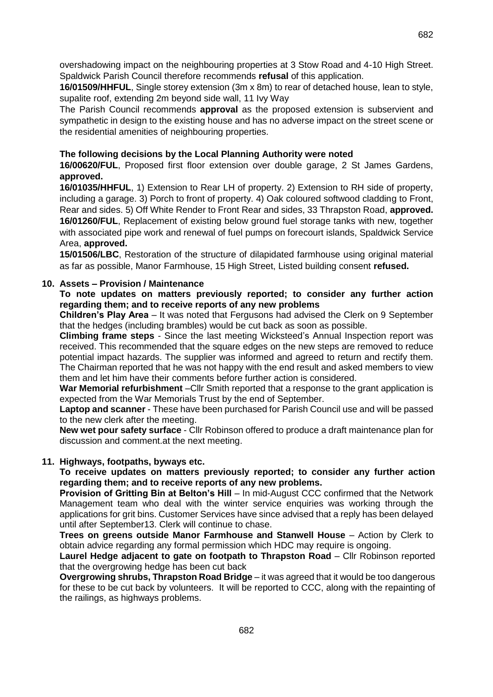overshadowing impact on the neighbouring properties at 3 Stow Road and 4-10 High Street. Spaldwick Parish Council therefore recommends **refusal** of this application.

**16/01509/HHFUL**, Single storey extension (3m x 8m) to rear of detached house, lean to style, supalite roof, extending 2m beyond side wall, 11 Ivy Way

The Parish Council recommends **approval** as the proposed extension is subservient and sympathetic in design to the existing house and has no adverse impact on the street scene or the residential amenities of neighbouring properties.

# **The following decisions by the Local Planning Authority were noted**

**16/00620/FUL**, Proposed first floor extension over double garage, 2 St James Gardens, **approved.**

**16/01035/HHFUL**, 1) Extension to Rear LH of property. 2) Extension to RH side of property, including a garage. 3) Porch to front of property. 4) Oak coloured softwood cladding to Front, Rear and sides. 5) Off White Render to Front Rear and sides, 33 Thrapston Road, **approved. 16/01260/FUL**, Replacement of existing below ground fuel storage tanks with new, together with associated pipe work and renewal of fuel pumps on forecourt islands, Spaldwick Service Area, **approved.**

**15/01506/LBC**, Restoration of the structure of dilapidated farmhouse using original material as far as possible, Manor Farmhouse, 15 High Street, Listed building consent **refused.**

# **10. Assets – Provision / Maintenance**

**To note updates on matters previously reported; to consider any further action regarding them; and to receive reports of any new problems**

**Children's Play Area** – It was noted that Fergusons had advised the Clerk on 9 September that the hedges (including brambles) would be cut back as soon as possible.

**Climbing frame steps** - Since the last meeting Wicksteed's Annual Inspection report was received. This recommended that the square edges on the new steps are removed to reduce potential impact hazards. The supplier was informed and agreed to return and rectify them. The Chairman reported that he was not happy with the end result and asked members to view them and let him have their comments before further action is considered.

**War Memorial refurbishment** –Cllr Smith reported that a response to the grant application is expected from the War Memorials Trust by the end of September.

**Laptop and scanner** - These have been purchased for Parish Council use and will be passed to the new clerk after the meeting.

**New wet pour safety surface** - Cllr Robinson offered to produce a draft maintenance plan for discussion and comment.at the next meeting.

# **11. Highways, footpaths, byways etc.**

**To receive updates on matters previously reported; to consider any further action regarding them; and to receive reports of any new problems.**

**Provision of Gritting Bin at Belton's Hill** – In mid-August CCC confirmed that the Network Management team who deal with the winter service enquiries was working through the applications for grit bins. Customer Services have since advised that a reply has been delayed until after September13. Clerk will continue to chase.

**Trees on greens outside Manor Farmhouse and Stanwell House** – Action by Clerk to obtain advice regarding any formal permission which HDC may require is ongoing.

**Laurel Hedge adjacent to gate on footpath to Thrapston Road** – Cllr Robinson reported that the overgrowing hedge has been cut back

**Overgrowing shrubs, Thrapston Road Bridge** – it was agreed that it would be too dangerous for these to be cut back by volunteers. It will be reported to CCC, along with the repainting of the railings, as highways problems.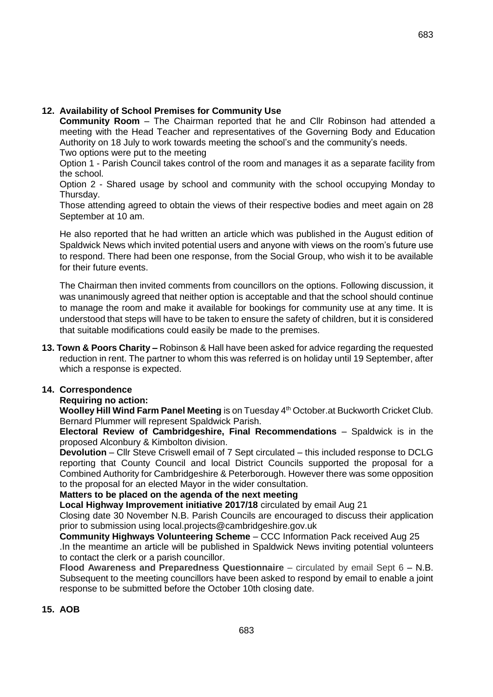683

# **12. Availability of School Premises for Community Use**

**Community Room** – The Chairman reported that he and Cllr Robinson had attended a meeting with the Head Teacher and representatives of the Governing Body and Education Authority on 18 July to work towards meeting the school's and the community's needs. Two options were put to the meeting

Option 1 - Parish Council takes control of the room and manages it as a separate facility from the school.

Option 2 - Shared usage by school and community with the school occupying Monday to Thursday.

Those attending agreed to obtain the views of their respective bodies and meet again on 28 September at 10 am.

He also reported that he had written an article which was published in the August edition of Spaldwick News which invited potential users and anyone with views on the room's future use to respond. There had been one response, from the Social Group, who wish it to be available for their future events.

The Chairman then invited comments from councillors on the options. Following discussion, it was unanimously agreed that neither option is acceptable and that the school should continue to manage the room and make it available for bookings for community use at any time. It is understood that steps will have to be taken to ensure the safety of children, but it is considered that suitable modifications could easily be made to the premises.

**13. Town & Poors Charity –** Robinson & Hall have been asked for advice regarding the requested reduction in rent. The partner to whom this was referred is on holiday until 19 September, after which a response is expected.

# **14. Correspondence**

# **Requiring no action:**

**Woolley Hill Wind Farm Panel Meeting** is on Tuesday 4<sup>th</sup> October.at Buckworth Cricket Club. Bernard Plummer will represent Spaldwick Parish.

**Electoral Review of Cambridgeshire, Final Recommendations** – Spaldwick is in the proposed Alconbury & Kimbolton division.

**Devolution** – Cllr Steve Criswell email of 7 Sept circulated – this included response to DCLG reporting that County Council and local District Councils supported the proposal for a Combined Authority for Cambridgeshire & Peterborough. However there was some opposition to the proposal for an elected Mayor in the wider consultation.

# **Matters to be placed on the agenda of the next meeting**

**Local Highway Improvement initiative 2017/18** circulated by email Aug 21

Closing date 30 November N.B. Parish Councils are encouraged to discuss their application prior to submission using local.projects@cambridgeshire.gov.uk

**Community Highways Volunteering Scheme** – CCC Information Pack received Aug 25 .In the meantime an article will be published in Spaldwick News inviting potential volunteers to contact the clerk or a parish councillor.

**Flood Awareness and Preparedness Questionnaire** – circulated by email Sept 6 – N.B. Subsequent to the meeting councillors have been asked to respond by email to enable a joint response to be submitted before the October 10th closing date.

# **15. AOB**